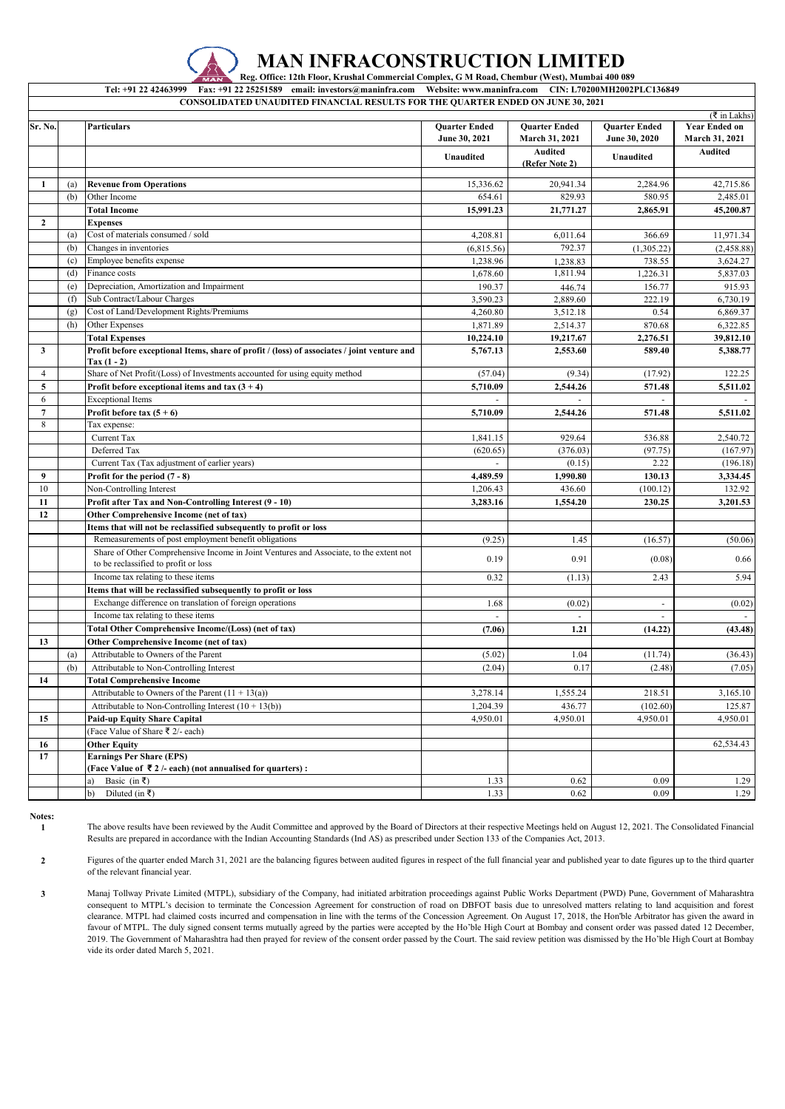

## **MAN INFRACONSTRUCTION LIMITED**

**Reg. Office: 12th Floor, Krushal Commercial Complex, G M Road, Chembur (West), Mumbai 400 089**

**Tel: +91 22 42463999 Fax: +91 22 25251589 email: investors@maninfra.com Website: www.maninfra.com CIN: L70200MH2002PLC136849**

|                |     |                                                                                                              |                                       |                                               |                                       | ( ₹ in Lakhs)                          |
|----------------|-----|--------------------------------------------------------------------------------------------------------------|---------------------------------------|-----------------------------------------------|---------------------------------------|----------------------------------------|
| Sr. No.        |     | <b>Particulars</b>                                                                                           | <b>Quarter Ended</b><br>June 30, 2021 | <b>Quarter Ended</b><br><b>March 31, 2021</b> | <b>Quarter Ended</b><br>June 30, 2020 | <b>Year Ended on</b><br>March 31, 2021 |
|                |     |                                                                                                              | Unaudited                             | <b>Audited</b><br>(Refer Note 2)              | Unaudited                             | <b>Audited</b>                         |
| 1              | (a) | <b>Revenue from Operations</b>                                                                               | 15,336.62                             | 20,941.34                                     | 2,284.96                              | 42,715.86                              |
|                | (b) | Other Income                                                                                                 | 654.61                                | 829.93                                        | 580.95                                | 2,485.01                               |
|                |     | <b>Total Income</b>                                                                                          | 15,991.23                             | 21,771.27                                     | 2,865.91                              | 45,200.87                              |
| $\mathbf{2}$   |     | <b>Expenses</b>                                                                                              |                                       |                                               |                                       |                                        |
|                | (a) | Cost of materials consumed / sold                                                                            | 4,208.81                              | 6,011.64                                      | 366.69                                | 11,971.34                              |
|                | (b) | Changes in inventories                                                                                       | (6,815.56)                            | 792.37                                        | (1,305.22)                            | (2,458.88)                             |
|                | (c) | Employee benefits expense                                                                                    | 1,238.96                              |                                               | 738.55                                | 3,624.27                               |
|                | (d) | Finance costs                                                                                                | 1.678.60                              | 1,238.83<br>1,811.94                          |                                       |                                        |
|                |     |                                                                                                              |                                       |                                               | 1,226.31                              | 5,837.03                               |
|                | (e) | Depreciation, Amortization and Impairment                                                                    | 190.37                                | 446.74                                        | 156.77                                | 915.93                                 |
|                | (f) | Sub Contract/Labour Charges                                                                                  | 3,590.23                              | 2,889.60                                      | 222.19                                | 6,730.19                               |
|                | (g) | Cost of Land/Development Rights/Premiums                                                                     | 4,260.80                              | 3,512.18                                      | 0.54                                  | 6,869.37                               |
|                | (h) | Other Expenses                                                                                               | 1,871.89                              | 2,514.37                                      | 870.68                                | 6,322.85                               |
|                |     | <b>Total Expenses</b>                                                                                        | 10,224.10                             | 19,217.67                                     | 2,276.51                              | 39,812.10                              |
| 3              |     | Profit before exceptional Items, share of profit / (loss) of associates / joint venture and<br>Tax $(1 - 2)$ | 5,767.13                              | 2,553.60                                      | 589.40                                | 5,388.77                               |
| $\overline{4}$ |     | Share of Net Profit/(Loss) of Investments accounted for using equity method                                  | (57.04)                               | (9.34)                                        | (17.92)                               | 122.25                                 |
| 5              |     | Profit before exceptional items and tax $(3 + 4)$                                                            | 5,710.09                              | 2,544.26                                      | 571.48                                | 5,511.02                               |
| 6              |     | <b>Exceptional Items</b>                                                                                     |                                       |                                               |                                       |                                        |
| $\overline{7}$ |     | Profit before tax $(5 + 6)$                                                                                  | 5,710.09                              | 2,544.26                                      | 571.48                                | 5,511.02                               |
| 8              |     | Tax expense:                                                                                                 |                                       |                                               |                                       |                                        |
|                |     | Current Tax                                                                                                  | 1,841.15                              | 929.64                                        | 536.88                                | 2,540.72                               |
|                |     | Deferred Tax                                                                                                 | (620.65)                              | (376.03)                                      | (97.75)                               | (167.97)                               |
|                |     | Current Tax (Tax adjustment of earlier years)                                                                | $\omega$                              | (0.15)                                        | 2.22                                  | (196.18)                               |
| 9              |     | Profit for the period (7 - 8)                                                                                | 4,489.59                              | 1.990.80                                      | 130.13                                | 3,334.45                               |
| 10             |     | Non-Controlling Interest                                                                                     | 1,206.43                              | 436.60                                        | (100.12)                              | 132.92                                 |
| 11             |     | Profit after Tax and Non-Controlling Interest (9 - 10)                                                       | 3,283.16                              | 1,554.20                                      | 230.25                                | 3,201.53                               |
| 12             |     | Other Comprehensive Income (net of tax)                                                                      |                                       |                                               |                                       |                                        |
|                |     | Items that will not be reclassified subsequently to profit or loss                                           |                                       |                                               |                                       |                                        |
|                |     | Remeasurements of post employment benefit obligations                                                        | (9.25)                                | 1.45                                          | (16.57)                               | (50.06)                                |
|                |     | Share of Other Comprehensive Income in Joint Ventures and Associate, to the extent not                       |                                       |                                               |                                       |                                        |
|                |     | to be reclassified to profit or loss                                                                         | 0.19                                  | 0.91                                          | (0.08)                                | 0.66                                   |
|                |     | Income tax relating to these items                                                                           | 0.32                                  | (1.13)                                        | 2.43                                  | 5.94                                   |
|                |     | Items that will be reclassified subsequently to profit or loss                                               |                                       |                                               |                                       |                                        |
|                |     | Exchange difference on translation of foreign operations                                                     | 1.68                                  | (0.02)                                        | ÷,                                    | (0.02)                                 |
|                |     | Income tax relating to these items                                                                           | $\overline{\phantom{a}}$              |                                               | $\overline{\phantom{a}}$              |                                        |
|                |     | Total Other Comprehensive Income/(Loss) (net of tax)                                                         | (7.06)                                | 1.21                                          |                                       | (43.48)                                |
|                |     |                                                                                                              |                                       |                                               | (14.22)                               |                                        |
| 13             |     | Other Comprehensive Income (net of tax)                                                                      |                                       |                                               |                                       |                                        |
|                | (a) | Attributable to Owners of the Parent                                                                         | (5.02)                                | 1.04                                          | (11.74)                               | (36.43)                                |
|                | (b) | Attributable to Non-Controlling Interest                                                                     | (2.04)                                | 0.17                                          | (2.48)                                | (7.05)                                 |
| 14             |     | <b>Total Comprehensive Income</b>                                                                            |                                       |                                               |                                       |                                        |
|                |     | Attributable to Owners of the Parent $(11 + 13(a))$                                                          | 3,278.14                              | 1,555.24                                      | 218.51                                | 3,165.10                               |
|                |     | Attributable to Non-Controlling Interest $(10 + 13(b))$                                                      | 1,204.39                              | 436.77                                        | (102.60)                              | 125.87                                 |
| 15             |     | Paid-up Equity Share Capital                                                                                 | 4,950.01                              | 4,950.01                                      | 4,950.01                              | 4,950.01                               |
|                |     | (Face Value of Share ₹ 2/- each)                                                                             |                                       |                                               |                                       |                                        |
| 16             |     | <b>Other Equity</b>                                                                                          |                                       |                                               |                                       | 62,534.43                              |
| 17             |     | <b>Earnings Per Share (EPS)</b>                                                                              |                                       |                                               |                                       |                                        |
|                |     | (Face Value of ₹2/-each) (not annualised for quarters):                                                      |                                       |                                               |                                       |                                        |
|                |     | Basic (in ₹)<br>a)                                                                                           | 1.33                                  | 0.62                                          | 0.09                                  | 1.29                                   |
|                |     | Diluted (in ₹)<br>b)                                                                                         | 1.33                                  | 0.62                                          | 0.09                                  | 1.29                                   |

**Notes: 1**

The above results have been reviewed by the Audit Committee and approved by the Board of Directors at their respective Meetings held on August 12, 2021. The Consolidated Financial Results are prepared in accordance with the Indian Accounting Standards (Ind AS) as prescribed under Section 133 of the Companies Act, 2013.

**2** Figures of the quarter ended March 31, 2021 are the balancing figures between audited figures in respect of the full financial year and published year to date figures up to the third quarter of the relevant financial year.

**3** Manaj Tollway Private Limited (MTPL), subsidiary of the Company, had initiated arbitration proceedings against Public Works Department (PWD) Pune, Government of Maharashtra consequent to MTPL's decision to terminate the Concession Agreement for construction of road on DBFOT basis due to unresolved matters relating to land acquisition and forest clearance. MTPL had claimed costs incurred and compensation in line with the terms of the Concession Agreement. On August 17, 2018, the Hon'ble Arbitrator has given the award in favour of MTPL. The duly signed consent terms mutually agreed by the parties were accepted by the Ho'ble High Court at Bombay and consent order was passed dated 12 December, 2019. The Government of Maharashtra had then prayed for review of the consent order passed by the Court. The said review petition was dismissed by the Ho'ble High Court at Bombay vide its order dated March 5, 2021.